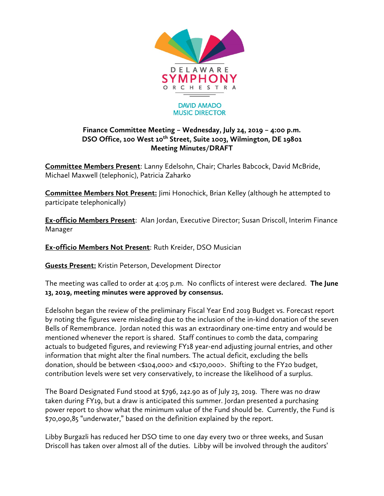

## **Finance Committee Meeting – Wednesday, July 24, 2019 – 4:00 p.m. DSO Office, 100 West 10th Street, Suite 1003, Wilmington, DE 19801 Meeting Minutes/DRAFT**

**Committee Members Present**: Lanny Edelsohn, Chair; Charles Babcock, David McBride, Michael Maxwell (telephonic), Patricia Zaharko

**Committee Members Not Present:** Jimi Honochick, Brian Kelley (although he attempted to participate telephonically)

**Ex-officio Members Present**: Alan Jordan, Executive Director; Susan Driscoll, Interim Finance Manager

**Ex-officio Members Not Present**: Ruth Kreider, DSO Musician

**Guests Present:** Kristin Peterson, Development Director

The meeting was called to order at 4:05 p.m. No conflicts of interest were declared. **The June 13, 2019, meeting minutes were approved by consensus.** 

Edelsohn began the review of the preliminary Fiscal Year End 2019 Budget vs. Forecast report by noting the figures were misleading due to the inclusion of the in-kind donation of the seven Bells of Remembrance. Jordan noted this was an extraordinary one-time entry and would be mentioned whenever the report is shared. Staff continues to comb the data, comparing actuals to budgeted figures, and reviewing FY18 year-end adjusting journal entries, and other information that might alter the final numbers. The actual deficit, excluding the bells donation, should be between <\$104,000> and <\$170,000>. Shifting to the FY20 budget, contribution levels were set very conservatively, to increase the likelihood of a surplus.

The Board Designated Fund stood at \$796, 242.90 as of July 23, 2019. There was no draw taken during FY19, but a draw is anticipated this summer. Jordan presented a purchasing power report to show what the minimum value of the Fund should be. Currently, the Fund is \$70,090,85 "underwater," based on the definition explained by the report.

Libby Burgazli has reduced her DSO time to one day every two or three weeks, and Susan Driscoll has taken over almost all of the duties. Libby will be involved through the auditors'